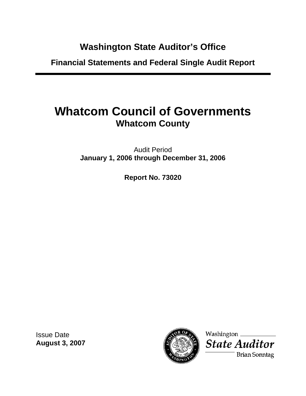# **Washington State Auditor's Office**

**Financial Statements and Federal Single Audit Report** 

# **Whatcom Council of Governments Whatcom County**

Audit Period **January 1, 2006 through December 31, 2006** 

**Report No. 73020** 

Issue Date **August 3, 2007** 



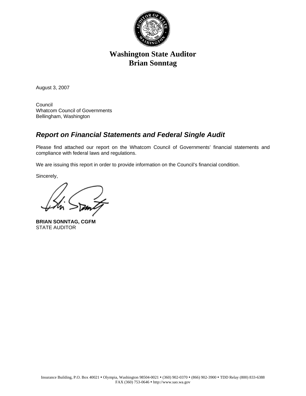

# **Washington State Auditor Brian Sonntag**

August 3, 2007

Council Whatcom Council of Governments Bellingham, Washington

# *Report on Financial Statements and Federal Single Audit*

Please find attached our report on the Whatcom Council of Governments' financial statements and compliance with federal laws and regulations.

We are issuing this report in order to provide information on the Council's financial condition.

Sincerely,

**BRIAN SONNTAG, CGFM**  STATE AUDITOR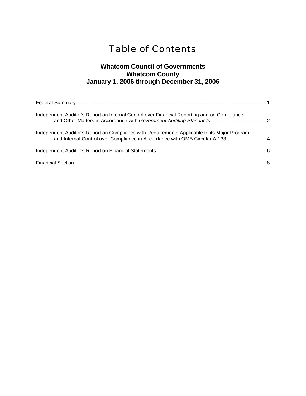# Table of Contents

# **Whatcom Council of Governments Whatcom County January 1, 2006 through December 31, 2006**

| Independent Auditor's Report on Internal Control over Financial Reporting and on Compliance  |  |
|----------------------------------------------------------------------------------------------|--|
| Independent Auditor's Report on Compliance with Requirements Applicable to its Major Program |  |
|                                                                                              |  |
|                                                                                              |  |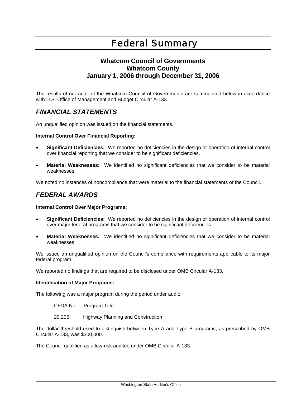# Federal Summary

# **Whatcom Council of Governments Whatcom County January 1, 2006 through December 31, 2006**

The results of our audit of the Whatcom Council of Governments are summarized below in accordance with U.S. Office of Management and Budget Circular A-133.

# *FINANCIAL STATEMENTS*

An unqualified opinion was issued on the financial statements.

#### **Internal Control Over Financial Reporting:**

- **Significant Deficiencies:** We reported no deficiencies in the design or operation of internal control over financial reporting that we consider to be significant deficiencies.
- **Material Weaknesses:** We identified no significant deficiencies that we consider to be material weaknesses.

We noted no instances of noncompliance that were material to the financial statements of the Council.

# *FEDERAL AWARDS*

#### **Internal Control Over Major Programs:**

- **Significant Deficiencies:** We reported no deficiencies in the design or operation of internal control over major federal programs that we consider to be significant deficiencies.
- **Material Weaknesses:** We identified no significant deficiencies that we consider to be material weaknesses.

We issued an unqualified opinion on the Council's compliance with requirements applicable to its major federal program.

We reported no findings that are required to be disclosed under OMB Circular A-133.

#### **Identification of Major Programs:**

The following was a major program during the period under audit:

CFDA No. Program Title

20.205 Highway Planning and Construction

The dollar threshold used to distinguish between Type A and Type B programs, as prescribed by OMB Circular A-133, was \$300,000.

The Council qualified as a low-risk auditee under OMB Circular A-133.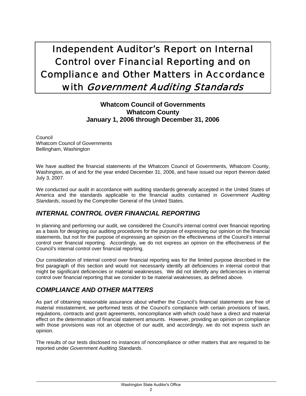# Independent Auditor's Report on Internal Control over Financial Reporting and on Compliance and Other Matters in Accordance with Government Auditing Standards

# **Whatcom Council of Governments Whatcom County January 1, 2006 through December 31, 2006**

Council Whatcom Council of Governments Bellingham, Washington

We have audited the financial statements of the Whatcom Council of Governments, Whatcom County, Washington, as of and for the year ended December 31, 2006, and have issued our report thereon dated July 3, 2007.

We conducted our audit in accordance with auditing standards generally accepted in the United States of America and the standards applicable to the financial audits contained in *Government Auditing Standards*, issued by the Comptroller General of the United States.

# *INTERNAL CONTROL OVER FINANCIAL REPORTING*

In planning and performing our audit, we considered the Council's internal control over financial reporting as a basis for designing our auditing procedures for the purpose of expressing our opinion on the financial statements, but not for the purpose of expressing an opinion on the effectiveness of the Council's internal control over financial reporting. Accordingly, we do not express an opinion on the effectiveness of the Council's internal control over financial reporting.

Our consideration of internal control over financial reporting was for the limited purpose described in the first paragraph of this section and would not necessarily identify all deficiencies in internal control that might be significant deficiencies or material weaknesses. We did not identify any deficiencies in internal control over financial reporting that we consider to be material weaknesses, as defined above.

# *COMPLIANCE AND OTHER MATTERS*

As part of obtaining reasonable assurance about whether the Council's financial statements are free of material misstatement, we performed tests of the Council's compliance with certain provisions of laws, regulations, contracts and grant agreements, noncompliance with which could have a direct and material effect on the determination of financial statement amounts. However, providing an opinion on compliance with those provisions was not an objective of our audit, and accordingly, we do not express such an opinion.

The results of our tests disclosed no instances of noncompliance or other matters that are required to be reported under *Government Auditing Standards*.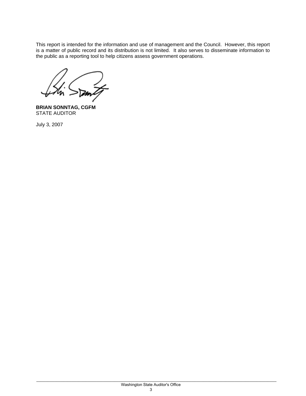This report is intended for the information and use of management and the Council. However, this report is a matter of public record and its distribution is not limited. It also serves to disseminate information to the public as a reporting tool to help citizens assess government operations.

**BRIAN SONNTAG, CGFM**  STATE AUDITOR

July 3, 2007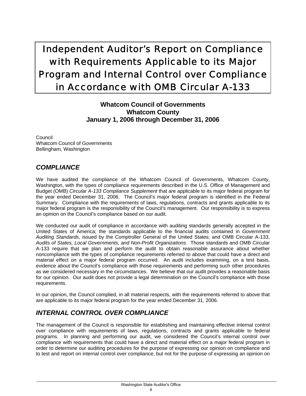# Independent Auditor's Report on Compliance with Requirements Applicable to its Major Program and Internal Control over Compliance in Accordance with OMB Circular A-133

# **Whatcom Council of Governments Whatcom County January 1, 2006 through December 31, 2006**

Council Whatcom Council of Governments Bellingham, Washington

# *COMPLIANCE*

We have audited the compliance of the Whatcom Council of Governments, Whatcom County, Washington, with the types of compliance requirements described in the U.S. Office of Management and Budget (OMB) *Circular A-133 Compliance Supplement* that are applicable to its major federal program for the year ended December 31, 2006. The Council's major federal program is identified in the Federal Summary. Compliance with the requirements of laws, regulations, contracts and grants applicable to its major federal program is the responsibility of the Council's management. Our responsibility is to express an opinion on the Council's compliance based on our audit.

We conducted our audit of compliance in accordance with auditing standards generally accepted in the United States of America; the standards applicable to the financial audits contained in *Government Auditing Standards*, issued by the Comptroller General of the United States; and OMB Circular A-133, *Audits of States, Local Governments, and Non-Profit Organizations*. Those standards and OMB Circular A-133 require that we plan and perform the audit to obtain reasonable assurance about whether noncompliance with the types of compliance requirements referred to above that could have a direct and material effect on a major federal program occurred. An audit includes examining, on a test basis, evidence about the Council's compliance with those requirements and performing such other procedures as we considered necessary in the circumstances. We believe that our audit provides a reasonable basis for our opinion. Our audit does not provide a legal determination on the Council's compliance with those requirements.

In our opinion, the Council complied, in all material respects, with the requirements referred to above that are applicable to its major federal program for the year ended December 31, 2006.

# *INTERNAL CONTROL OVER COMPLIANCE*

The management of the Council is responsible for establishing and maintaining effective internal control over compliance with requirements of laws, regulations, contracts and grants applicable to federal programs. In planning and performing our audit, we considered the Council's internal control over compliance with requirements that could have a direct and material effect on a major federal program in order to determine our auditing procedures for the purpose of expressing our opinion on compliance and to test and report on internal control over compliance, but not for the purpose of expressing an opinion on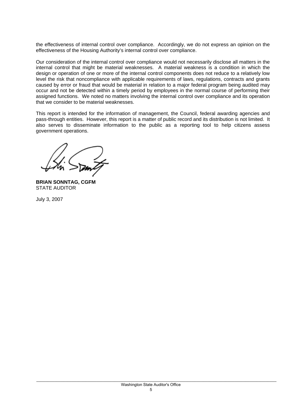the effectiveness of internal control over compliance. Accordingly, we do not express an opinion on the effectiveness of the Housing Authority's internal control over compliance.

Our consideration of the internal control over compliance would not necessarily disclose all matters in the internal control that might be material weaknesses. A material weakness is a condition in which the design or operation of one or more of the internal control components does not reduce to a relatively low level the risk that noncompliance with applicable requirements of laws, regulations, contracts and grants caused by error or fraud that would be material in relation to a major federal program being audited may occur and not be detected within a timely period by employees in the normal course of performing their assigned functions. We noted no matters involving the internal control over compliance and its operation that we consider to be material weaknesses.

This report is intended for the information of management, the Council, federal awarding agencies and pass-through entities. However, this report is a matter of public record and its distribution is not limited. It also serves to disseminate information to the public as a reporting tool to help citizens assess government operations.

**BRIAN SONNTAG, CGFM**  STATE AUDITOR

July 3, 2007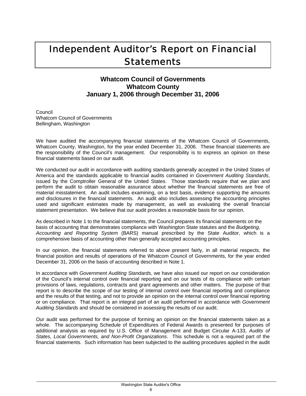# Independent Auditor's Report on Financial **Statements**

# **Whatcom Council of Governments Whatcom County January 1, 2006 through December 31, 2006**

Council Whatcom Council of Governments Bellingham, Washington

We have audited the accompanying financial statements of the Whatcom Council of Governments, Whatcom County, Washington, for the year ended December 31, 2006. These financial statements are the responsibility of the Council's management. Our responsibility is to express an opinion on these financial statements based on our audit.

We conducted our audit in accordance with auditing standards generally accepted in the United States of America and the standards applicable to financial audits contained in *Government Auditing Standards*, issued by the Comptroller General of the United States. Those standards require that we plan and perform the audit to obtain reasonable assurance about whether the financial statements are free of material misstatement. An audit includes examining, on a test basis, evidence supporting the amounts and disclosures in the financial statements. An audit also includes assessing the accounting principles used and significant estimates made by management, as well as evaluating the overall financial statement presentation. We believe that our audit provides a reasonable basis for our opinion.

As described in Note 1 to the financial statements, the Council prepares its financial statements on the basis of accounting that demonstrates compliance with Washington State statutes and the *Budgeting, Accounting and Reporting System* (BARS) manual prescribed by the State Auditor, which is a comprehensive basis of accounting other than generally accepted accounting principles.

In our opinion, the financial statements referred to above present fairly, in all material respects, the financial position and results of operations of the Whatcom Council of Governments, for the year ended December 31, 2006 on the basis of accounting described in Note 1.

In accordance with *Government Auditing Standards*, we have also issued our report on our consideration of the Council's internal control over financial reporting and on our tests of its compliance with certain provisions of laws, regulations, contracts and grant agreements and other matters. The purpose of that report is to describe the scope of our testing of internal control over financial reporting and compliance and the results of that testing, and not to provide an opinion on the internal control over financial reporting or on compliance. That report is an integral part of an audit performed in accordance with *Government Auditing Standards* and should be considered in assessing the results of our audit.

Our audit was performed for the purpose of forming an opinion on the financial statements taken as a whole. The accompanying Schedule of Expenditures of Federal Awards is presented for purposes of additional analysis as required by U.S. Office of Management and Budget Circular A-133, *Audits of States, Local Governments, and Non-Profit Organizations*. This schedule is not a required part of the financial statements. Such information has been subjected to the auditing procedures applied in the audit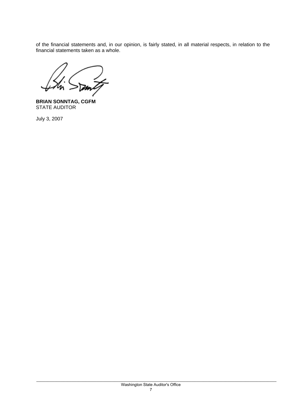of the financial statements and, in our opinion, is fairly stated, in all material respects, in relation to the financial statements taken as a whole.

**BRIAN SONNTAG, CGFM**  STATE AUDITOR

July 3, 2007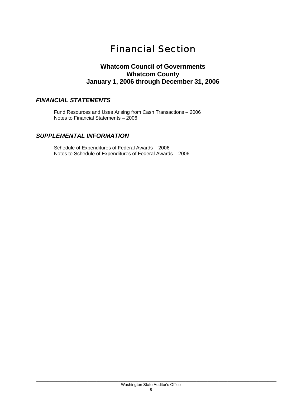# Financial Section

### **Whatcom Council of Governments Whatcom County January 1, 2006 through December 31, 2006**

### *FINANCIAL STATEMENTS*

Fund Resources and Uses Arising from Cash Transactions – 2006 Notes to Financial Statements – 2006

### *SUPPLEMENTAL INFORMATION*

Schedule of Expenditures of Federal Awards – 2006 Notes to Schedule of Expenditures of Federal Awards – 2006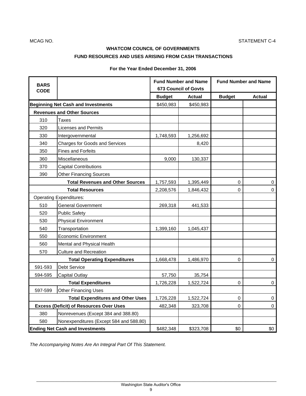### **WHATCOM COUNCIL OF GOVERNMENTS FUND RESOURCES AND USES ARISING FROM CASH TRANSACTIONS**

**For the Year Ended December 31, 2006**

| <b>BARS</b><br><b>CODE</b>                     |                                         | <b>Fund Number and Name</b><br><b>673 Council of Govts</b> |               | <b>Fund Number and Name</b> |               |
|------------------------------------------------|-----------------------------------------|------------------------------------------------------------|---------------|-----------------------------|---------------|
|                                                |                                         | <b>Budget</b>                                              | <b>Actual</b> | <b>Budget</b>               | <b>Actual</b> |
| <b>Beginning Net Cash and Investments</b>      |                                         | \$450,983                                                  | \$450,983     |                             |               |
| <b>Revenues and Other Sources</b>              |                                         |                                                            |               |                             |               |
| 310                                            | Taxes                                   |                                                            |               |                             |               |
| 320                                            | <b>Licenses and Permits</b>             |                                                            |               |                             |               |
| 330                                            | Intergovernmental                       | 1,748,593                                                  | 1,256,692     |                             |               |
| 340                                            | Charges for Goods and Services          |                                                            | 8,420         |                             |               |
| 350                                            | <b>Fines and Forfeits</b>               |                                                            |               |                             |               |
| 360                                            | Miscellaneous                           | 9,000                                                      | 130,337       |                             |               |
| 370                                            | <b>Capital Contributions</b>            |                                                            |               |                             |               |
| 390                                            | <b>Other Financing Sources</b>          |                                                            |               |                             |               |
|                                                | <b>Total Revenues and Other Sources</b> | 1,757,593                                                  | 1,395,449     | 0                           | 0             |
| <b>Total Resources</b>                         |                                         | 2,208,576                                                  | 1,846,432     | 0                           | 0             |
| <b>Operating Expenditures:</b>                 |                                         |                                                            |               |                             |               |
| 510                                            | <b>General Government</b>               | 269,318                                                    | 441,533       |                             |               |
| 520                                            | <b>Public Safety</b>                    |                                                            |               |                             |               |
| 530                                            | <b>Physical Environment</b>             |                                                            |               |                             |               |
| 540                                            | Transportation                          | 1,399,160                                                  | 1,045,437     |                             |               |
| 550                                            | <b>Economic Environment</b>             |                                                            |               |                             |               |
| 560                                            | Mental and Physical Health              |                                                            |               |                             |               |
| 570                                            | <b>Culture and Recreation</b>           |                                                            |               |                             |               |
| <b>Total Operating Expenditures</b>            |                                         | 1,668,478                                                  | 1,486,970     | 0                           | 0             |
| 591-593                                        | <b>Debt Service</b>                     |                                                            |               |                             |               |
| 594-595                                        | <b>Capital Outlay</b>                   | 57,750                                                     | 35,754        |                             |               |
|                                                | <b>Total Expenditures</b>               | 1,726,228                                                  | 1,522,724     | 0                           | 0             |
| 597-599                                        | <b>Other Financing Uses</b>             |                                                            |               |                             |               |
| <b>Total Expenditures and Other Uses</b>       |                                         | 1,726,228                                                  | 1,522,724     | 0                           | 0             |
| <b>Excess (Deficit) of Resources Over Uses</b> |                                         | 482,348                                                    | 323,708       | 0                           | 0             |
| 380                                            | Nonrevenues (Except 384 and 388.80)     |                                                            |               |                             |               |
| 580                                            | Nonexpenditures (Except 584 and 588.80) |                                                            |               |                             |               |
| <b>Ending Net Cash and Investments</b>         |                                         | \$482,348                                                  | \$323,708     | \$0                         | \$0           |

*The Accompanying Notes Are An Integral Part Of This Statement.*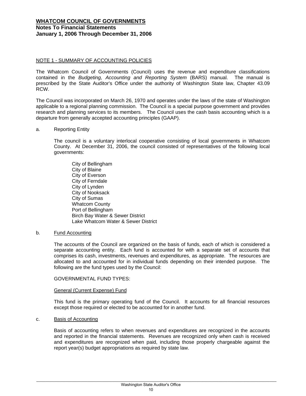#### **WHATCOM COUNCIL OF GOVERNMENTS Notes To Financial Statements January 1, 2006 Through December 31, 2006**

#### NOTE 1 - SUMMARY OF ACCOUNTING POLICIES

The Whatcom Council of Governments (Council) uses the revenue and expenditure classifications contained in the *Budgeting, Accounting and Reporting System* (BARS) manual. The manual is prescribed by the State Auditor's Office under the authority of Washington State law, Chapter 43.09 RCW.

The Council was incorporated on March 26, 1970 and operates under the laws of the state of Washington applicable to a regional planning commission. The Council is a special purpose government and provides research and planning services to its members. The Council uses the cash basis accounting which is a departure from generally accepted accounting principles (GAAP).

#### a. Reporting Entity

 The council is a voluntary interlocal cooperative consisting of local governments in Whatcom County. At December 31, 2006, the council consisted of representatives of the following local governments:

 City of Bellingham City of Blaine City of Everson City of Ferndale City of Lynden City of Nooksack City of Sumas Whatcom County Port of Bellingham Birch Bay Water & Sewer District Lake Whatcom Water & Sewer District

#### b. Fund Accounting

The accounts of the Council are organized on the basis of funds, each of which is considered a separate accounting entity. Each fund is accounted for with a separate set of accounts that comprises its cash, investments, revenues and expenditures, as appropriate. The resources are allocated to and accounted for in individual funds depending on their intended purpose. The following are the fund types used by the Council:

#### GOVERNMENTAL FUND TYPES:

#### General (Current Expense) Fund

This fund is the primary operating fund of the Council. It accounts for all financial resources except those required or elected to be accounted for in another fund.

#### c. Basis of Accounting

1

Basis of accounting refers to when revenues and expenditures are recognized in the accounts and reported in the financial statements. Revenues are recognized only when cash is received and expenditures are recognized when paid, including those properly chargeable against the report year(s) budget appropriations as required by state law.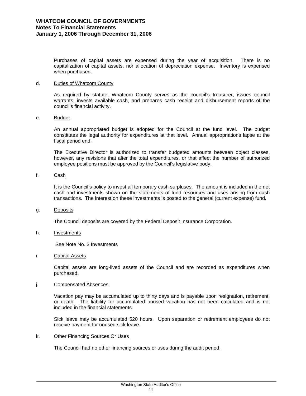Purchases of capital assets are expensed during the year of acquisition. There is no capitalization of capital assets, nor allocation of depreciation expense. Inventory is expensed when purchased.

#### d. Duties of Whatcom County

As required by statute, Whatcom County serves as the council's treasurer, issues council warrants, invests available cash, and prepares cash receipt and disbursement reports of the council's financial activity.

#### e. Budget

An annual appropriated budget is adopted for the Council at the fund level. The budget constitutes the legal authority for expenditures at that level. Annual appropriations lapse at the fiscal period end.

The Executive Director is authorized to transfer budgeted amounts between object classes; however, any revisions that alter the total expenditures, or that affect the number of authorized employee positions must be approved by the Council's legislative body.

### f. Cash

It is the Council's policy to invest all temporary cash surpluses. The amount is included in the net cash and investments shown on the statements of fund resources and uses arising from cash transactions. The interest on these investments is posted to the general (current expense) fund.

#### g. Deposits

The Council deposits are covered by the Federal Deposit Insurance Corporation.

#### h. **Investments**

See Note No. 3 Investments

#### i. Capital Assets

1

Capital assets are long-lived assets of the Council and are recorded as expenditures when purchased.

#### j. Compensated Absences

Vacation pay may be accumulated up to thirty days and is payable upon resignation, retirement, or death. The liability for accumulated unused vacation has not been calculated and is not included in the financial statements.

Sick leave may be accumulated 520 hours. Upon separation or retirement employees do not receive payment for unused sick leave.

#### k. Other Financing Sources Or Uses

The Council had no other financing sources or uses during the audit period.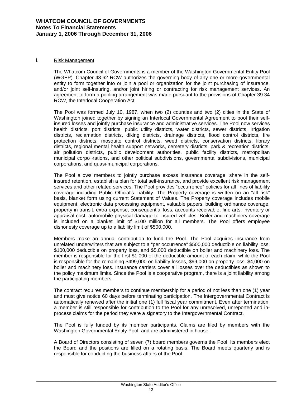#### **WHATCOM COUNCIL OF GOVERNMENTS Notes To Financial Statements January 1, 2006 Through December 31, 2006**

#### l. Risk Management

1

The Whatcom Council of Governments is a member of the Washington Governmental Entity Pool (WGEP). Chapter 48.62 RCW authorizes the governing body of any one or more governmental entity to form together into or join a pool or organization for the joint purchasing of insurance, and/or joint self-insuring, and/or joint hiring or contracting for risk management services. An agreement to form a pooling arrangement was made pursuant to the provisions of Chapter 39.34 RCW, the Interlocal Cooperation Act.

The Pool was formed July 10, 1987, when two (2) counties and two (2) cities in the State of Washington joined together by signing an Interlocal Governmental Agreement to pool their selfinsured losses and jointly purchase insurance and administrative services. The Pool now services health districts, port districts, public utility districts, water districts, sewer districts, irrigation districts, reclamation districts, diking districts, drainage districts, flood control districts, fire protection districts, mosquito control districts, weed districts, conservation districts, library districts, regional mental health support networks, cemetery districts, park & recreation districts, air pollution districts, public development authorities, public facility districts, metropolitan municipal corpo¬rations, and other political subdivisions, governmental subdivisions, municipal corporations, and quasi-municipal corporations.

The Pool allows members to jointly purchase excess insurance coverage, share in the selfinsured retention, establish a plan for total self-insurance, and provide excellent risk management services and other related services. The Pool provides "occurrence" policies for all lines of liability coverage including Public Official's Liability. The Property coverage is written on an "all risk" basis, blanket form using current Statement of Values. The Property coverage includes mobile equipment, electronic data processing equipment, valuable papers, building ordinance coverage, property in transit, extra expense, consequential loss, accounts receivable, fine arts, inventory or appraisal cost, automobile physical damage to insured vehicles. Boiler and machinery coverage is included on a blanket limit of \$100 million for all members. The Pool offers employee dishonesty coverage up to a liability limit of \$500,000.

Members make an annual contribution to fund the Pool. The Pool acquires insurance from unrelated underwriters that are subject to a "per occurrence" \$500,000 deductible on liability loss, \$100,000 deductible on property loss, and \$5,000 deductible on boiler and machinery loss. The member is responsible for the first \$1,000 of the deductible amount of each claim, while the Pool is responsible for the remaining \$499,000 on liability losses, \$99,000 on property loss, \$4,000 on boiler and machinery loss. Insurance carriers cover all losses over the deductibles as shown to the policy maximum limits. Since the Pool is a cooperative program, there is a joint liability among the participating members.

The contract requires members to continue membership for a period of not less than one (1) year and must give notice 60 days before terminating participation. The Intergovernmental Contract is automatically renewed after the initial one (1) full fiscal year commitment. Even after termination, a member is still responsible for contribution to the Pool for any unresolved, unreported and inprocess claims for the period they were a signatory to the Intergovernmental Contract.

The Pool is fully funded by its member participants. Claims are filed by members with the Washington Governmental Entity Pool, and are administered in house.

A Board of Directors consisting of seven (7) board members governs the Pool. Its members elect the Board and the positions are filled on a rotating basis. The Board meets quarterly and is responsible for conducting the business affairs of the Pool.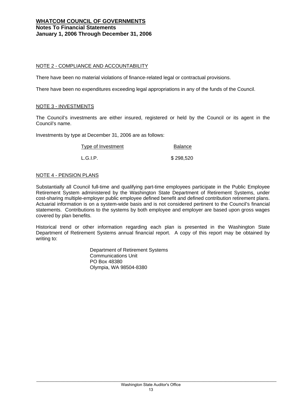#### **WHATCOM COUNCIL OF GOVERNMENTS Notes To Financial Statements January 1, 2006 Through December 31, 2006**

#### NOTE 2 - COMPLIANCE AND ACCOUNTABILITY

There have been no material violations of finance-related legal or contractual provisions.

There have been no expenditures exceeding legal appropriations in any of the funds of the Council.

#### NOTE 3 - INVESTMENTS

The Council's investments are either insured, registered or held by the Council or its agent in the Council's name.

Investments by type at December 31, 2006 are as follows:

Type of Investment **Balance** 

L.G.I.P. \$298,520

#### NOTE 4 - PENSION PLANS

1

Substantially all Council full-time and qualifying part-time employees participate in the Public Employee Retirement System administered by the Washington State Department of Retirement Systems, under cost-sharing multiple-employer public employee defined benefit and defined contribution retirement plans. Actuarial information is on a system-wide basis and is not considered pertinent to the Council's financial statements. Contributions to the systems by both employee and employer are based upon gross wages covered by plan benefits.

Historical trend or other information regarding each plan is presented in the Washington State Department of Retirement Systems annual financial report. A copy of this report may be obtained by writing to:

> Department of Retirement Systems Communications Unit PO Box 48380 Olympia, WA 98504-8380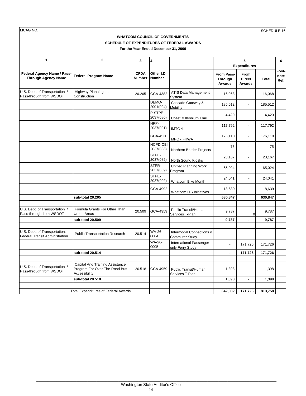MCAG NO. SCHEDULE 16 **1 2 3 4 6 From Pass-Through Awards From Direct Awards Total**  U.S. Dept. of Transportation / Pass-through from WSDOT Highway Planning and Highway Planning and **20.205** GCA-4382 ATIS Data Management 16,068 - 16,068 - 16,068 DEMO-2001(024) Cascade Gateway & Cascade Galeway  $\alpha$  185,512 - 185,512<br>Mobility P-STPE-<br>2037(080) Coast Millennium Trail  $4,420$   $- 4,420$ HPP-2037(091) IMTC 4 - 117,792 117,792 GCA-4530 MPO - FHWA - 176,110 - 176,110 NCPD-CBI NCPD-CBI<br>2037(086) Northern Border Projects 75 75 75 STPE-2037(082) North Sound Kiosks 23,167 - 23,167 STPR-2037(089) Unified Planning Work Program - 65,024 constants have considered to the 65,024 consider the 65,024 consider the 65,024 consider the  $\frac{65,024}{2}$  consider the  $\frac{65,024}{2}$ STPE-<br>2037(092) Whatcom Bike Month  $24,041$  - 24,041 GCA-4992 Whatcom ITS Initiatives 18,639 18,639 **sub-total 20.205 630,847 630,847**  U.S. Dept. of Transportation / Pass-through from WSDOT Formula Grants For Other Than 20.509 GCA-4959 Public Transit/Human<br>Urban Areas 1-Plan Public Transit/Human <br>Services T-Plan 9,787 0 9,787 **sub-total 20.509 - 9,787 9,787**  U.S. Dept. of Transportation:<br>Federal Transit Administration Public Transportation Research 20.514 WA-26-0004 Intermodal Connections & Commuter Study WA-26- 0005 International Passenger-International Passenger-<br>
only Ferry Study<br>
171,726 **sub-total 20.514 - 171,726 - 171,726 - 171,726 - 171,726 - 171,726 - 171,726** U.S. Dept. of Transportation / Pass-through from WSDOT Capital And Training Assistance Program For Over-The-Road Bus Accessibility 20.518 GCA-4959 Public Transit/Human Services T-Plan 1,398 - 1,398 **sub-total 20.518 - 1,398 1,398 171,726 642,032 813,758 Other I.D. Number Expenditures Footnote Ref.** Total Expenditures of Federal Awards **Federal Agency Name / Pass-Through Agency Name Federal Program Name CFDA Number 5 WHATCOM COUNCIL OF GOVERNMENTS SCHEDULE OF EXPENDITURES OF FEDERAL AWARDS For the Year Ended December 31, 2006**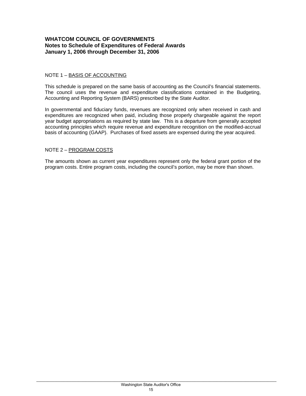### **WHATCOM COUNCIL OF GOVERNMENTS Notes to Schedule of Expenditures of Federal Awards January 1, 2006 through December 31, 2006**

#### NOTE 1 – BASIS OF ACCOUNTING

This schedule is prepared on the same basis of accounting as the Council's financial statements. The council uses the revenue and expenditure classifications contained in the Budgeting, Accounting and Reporting System (BARS) prescribed by the State Auditor.

In governmental and fiduciary funds, revenues are recognized only when received in cash and expenditures are recognized when paid, including those properly chargeable against the report year budget appropriations as required by state law. This is a departure from generally accepted accounting principles which require revenue and expenditure recognition on the modified-accrual basis of accounting (GAAP). Purchases of fixed assets are expensed during the year acquired.

#### NOTE 2 – PROGRAM COSTS

The amounts shown as current year expenditures represent only the federal grant portion of the program costs. Entire program costs, including the council's portion, may be more than shown.